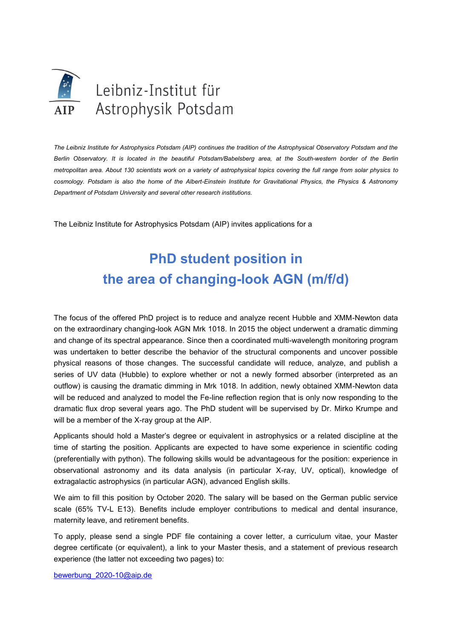

*The Leibniz Institute for Astrophysics Potsdam (AIP) continues the tradition of the Astrophysical Observatory Potsdam and the Berlin Observatory. It is located in the beautiful Potsdam/Babelsberg area, at the South-western border of the Berlin metropolitan area. About 130 scientists work on a variety of astrophysical topics covering the full range from solar physics to cosmology. Potsdam is also the home of the Albert-Einstein Institute for Gravitational Physics, the Physics & Astronomy Department of Potsdam University and several other research institutions.*

The Leibniz Institute for Astrophysics Potsdam (AIP) invites applications for a

## **PhD student position in the area of changing-look AGN (m/f/d)**

The focus of the offered PhD project is to reduce and analyze recent Hubble and XMM-Newton data on the extraordinary changing-look AGN Mrk 1018. In 2015 the object underwent a dramatic dimming and change of its spectral appearance. Since then a coordinated multi-wavelength monitoring program was undertaken to better describe the behavior of the structural components and uncover possible physical reasons of those changes. The successful candidate will reduce, analyze, and publish a series of UV data (Hubble) to explore whether or not a newly formed absorber (interpreted as an outflow) is causing the dramatic dimming in Mrk 1018. In addition, newly obtained XMM-Newton data will be reduced and analyzed to model the Fe-line reflection region that is only now responding to the dramatic flux drop several years ago. The PhD student will be supervised by Dr. Mirko Krumpe and will be a member of the X-ray group at the AIP.

Applicants should hold a Master's degree or equivalent in astrophysics or a related discipline at the time of starting the position. Applicants are expected to have some experience in scientific coding (preferentially with python). The following skills would be advantageous for the position: experience in observational astronomy and its data analysis (in particular X-ray, UV, optical), knowledge of extragalactic astrophysics (in particular AGN), advanced English skills.

We aim to fill this position by October 2020. The salary will be based on the German public service scale (65% TV-L E13). Benefits include employer contributions to medical and dental insurance, maternity leave, and retirement benefits.

To apply, please send a single PDF file containing a cover letter, a curriculum vitae, your Master degree certificate (or equivalent), a link to your Master thesis, and a statement of previous research experience (the latter not exceeding two pages) to:

[bewerbung\\_2020-10@aip.de](mailto:bewerbung_2020-10@aip.de)